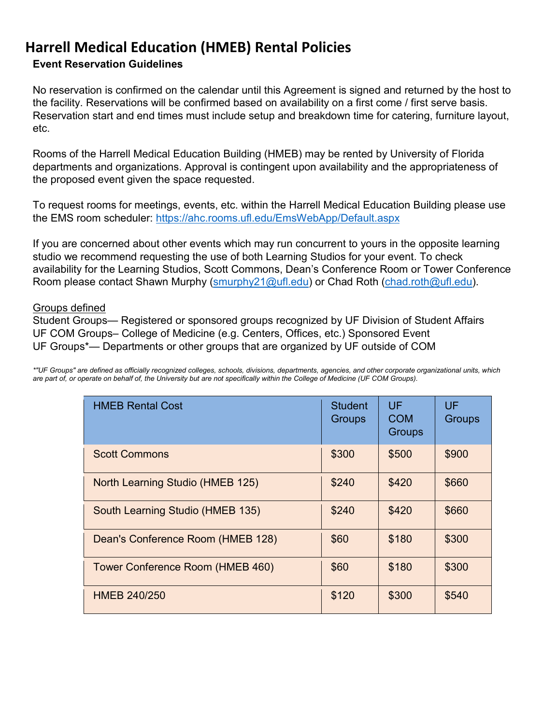### **Event Reservation Guidelines**

No reservation is confirmed on the calendar until this Agreement is signed and returned by the host to the facility. Reservations will be confirmed based on availability on a first come / first serve basis. Reservation start and end times must include setup and breakdown time for catering, furniture layout, etc.

Rooms of the Harrell Medical Education Building (HMEB) may be rented by University of Florida departments and organizations. Approval is contingent upon availability and the appropriateness of the proposed event given the space requested.

To request rooms for meetings, events, etc. within the Harrell Medical Education Building please use the EMS room scheduler:<https://ahc.rooms.ufl.edu/EmsWebApp/Default.aspx>

If you are concerned about other events which may run concurrent to yours in the opposite learning studio we recommend requesting the use of both Learning Studios for your event. To check availability for the Learning Studios, Scott Commons, Dean's Conference Room or Tower Conference Room please contact Shawn Murphy (smurphy21@ufl.edu) or Chad Roth [\(chad.roth@ufl.edu\)](mailto:chad.roth@ufl.edu).

#### Groups defined

Student Groups— Registered or sponsored groups recognized by UF Division of Student Affairs UF COM Groups– College of Medicine (e.g. Centers, Offices, etc.) Sponsored Event UF Groups\*— Departments or other groups that are organized by UF outside of COM

*\*"UF Groups" are defined as officially recognized colleges, schools, divisions, departments, agencies, and other corporate organizational units, which are part of, or operate on behalf of, the University but are not specifically within the College of Medicine (UF COM Groups).*

| <b>HMEB Rental Cost</b>           | <b>Student</b><br><b>Groups</b> | UF<br><b>COM</b><br><b>Groups</b> | UF<br><b>Groups</b> |
|-----------------------------------|---------------------------------|-----------------------------------|---------------------|
| <b>Scott Commons</b>              | \$300                           | \$500                             | \$900               |
| North Learning Studio (HMEB 125)  | \$240                           | \$420                             | \$660               |
| South Learning Studio (HMEB 135)  | \$240                           | \$420                             | \$660               |
| Dean's Conference Room (HMEB 128) | \$60                            | \$180                             | \$300               |
| Tower Conference Room (HMEB 460)  | \$60                            | \$180                             | \$300               |
| <b>HMEB 240/250</b>               | \$120                           | \$300                             | \$540               |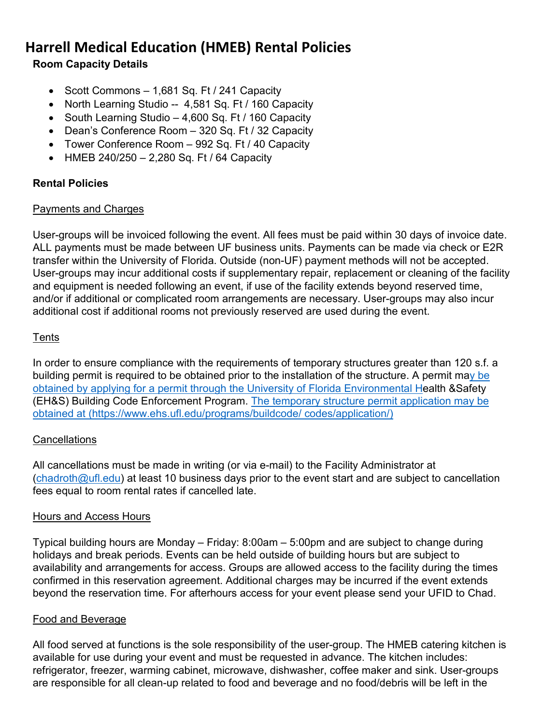## **Room Capacity Details**

- Scott Commons 1,681 Sq. Ft / 241 Capacity
- North Learning Studio -- 4,581 Sq. Ft / 160 Capacity
- South Learning Studio 4,600 Sq. Ft / 160 Capacity
- Dean's Conference Room 320 Sq. Ft / 32 Capacity
- Tower Conference Room 992 Sq. Ft / 40 Capacity
- HMEB 240/250 2,280 Sq. Ft / 64 Capacity

### **Rental Policies**

### Payments and Charges

User-groups will be invoiced following the event. All fees must be paid within 30 days of invoice date. ALL payments must be made between UF business units. Payments can be made via check or E2R transfer within the University of Florida. Outside (non-UF) payment methods will not be accepted. User-groups may incur additional costs if supplementary repair, replacement or cleaning of the facility and equipment is needed following an event, if use of the facility extends beyond reserved time, and/or if additional or complicated room arrangements are necessary. User-groups may also incur additional cost if additional rooms not previously reserved are used during the event.

### **Tents**

In order to ensure compliance with the requirements of temporary structures greater than 120 s.f. a building permit is required to be obtained prior to the installation of the structure. A permit m[ay be](http://webfiles.ehs.ufl.edu/temp_bldg_permit_app.pdf)  [obtained by](http://webfiles.ehs.ufl.edu/temp_bldg_permit_app.pdf) [applying for a](http://webfiles.ehs.ufl.edu/temp_bldg_permit_app.pdf) [permit through the University of Florida Environmental He](http://webfiles.ehs.ufl.edu/temp_bldg_permit_app.pdf)alth &Safety (EH&S) Building Code Enforcement Program. [The temporary structure permit application may be](https://www.ehs.ufl.edu/programs/buildcode/codes/application/)  [obtained at](https://www.ehs.ufl.edu/programs/buildcode/codes/application/) [\(https://www.ehs.ufl.edu/programs/buildcode/ codes/application/\)](https://www.ehs.ufl.edu/programs/buildcode/codes/application/)

### **Cancellations**

All cancellations must be made in writing (or via e-mail) to the Facility Administrator at  $($ chadroth@ufl.edu) at least 10 business days prior to the event start and are subject to cancellation fees equal to room rental rates if cancelled late.

### Hours and Access Hours

Typical building hours are Monday – Friday: 8:00am – 5:00pm and are subject to change during holidays and break periods. Events can be held outside of building hours but are subject to availability and arrangements for access. Groups are allowed access to the facility during the times confirmed in this reservation agreement. Additional charges may be incurred if the event extends beyond the reservation time. For afterhours access for your event please send your UFID to Chad.

#### Food and Beverage

All food served at functions is the sole responsibility of the user-group. The HMEB catering kitchen is available for use during your event and must be requested in advance. The kitchen includes: refrigerator, freezer, warming cabinet, microwave, dishwasher, coffee maker and sink. User-groups are responsible for all clean-up related to food and beverage and no food/debris will be left in the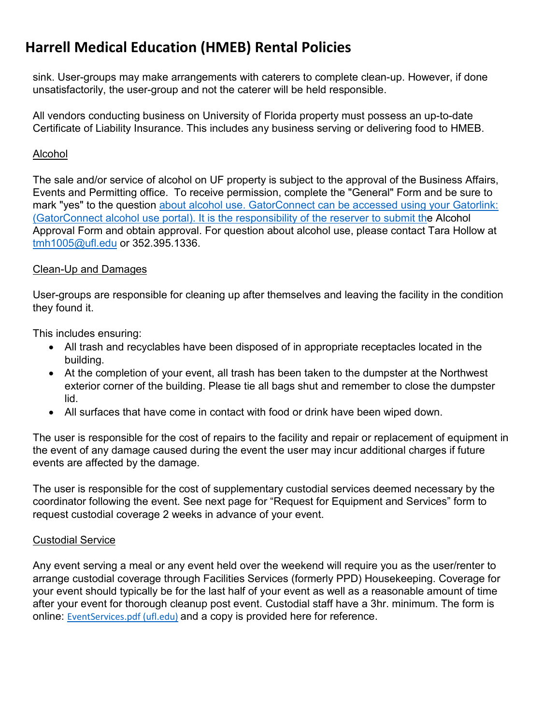sink. User-groups may make arrangements with caterers to complete clean-up. However, if done unsatisfactorily, the user-group and not the caterer will be held responsible.

All vendors conducting business on University of Florida property must possess an up-to-date Certificate of Liability Insurance. This includes any business serving or delivering food to HMEB.

#### Alcohol

The sale and/or service of alcohol on UF property is subject to the approval of the Business Affairs, Events and Permitting office. To receive permission, complete the "General" Form and be sure to mark "yes" to the question about alcohol use. GatorConnect can be accessed using your Gatorlink: [\(](https://orgs.studentinvolvement.ufl.edu/Auth/Login?ReturnUrl=%2FVendor%2FWizard%2F0%2FPrereq)[GatorConnect alcohol use portal](https://orgs.studentinvolvement.ufl.edu/%20Auth/Login?ReturnUrl=%2FVendor%2FWizard%2F0%2FPrereq)[\).](https://orgs.studentinvolvement.ufl.edu/Auth/Login?ReturnUrl=%2FVendor%2FWizard%2F0%2FPrereq) [It is the responsibility of the reserver to submit the](https://orgs.studentinvolvement.ufl.edu/Auth/Login?ReturnUrl=%2FVendor%2FWizard%2F0%2FPrereq) Alcohol Approval Form and obtain approval. For question about alcohol use, please contact Tara Hollow at tmh1005@ufl.edu or 352.395.1336.

#### Clean-Up and Damages

User-groups are responsible for cleaning up after themselves and leaving the facility in the condition they found it.

This includes ensuring:

- All trash and recyclables have been disposed of in appropriate receptacles located in the building.
- At the completion of your event, all trash has been taken to the dumpster at the Northwest exterior corner of the building. Please tie all bags shut and remember to close the dumpster lid.
- All surfaces that have come in contact with food or drink have been wiped down.

The user is responsible for the cost of repairs to the facility and repair or replacement of equipment in the event of any damage caused during the event the user may incur additional charges if future events are affected by the damage.

The user is responsible for the cost of supplementary custodial services deemed necessary by the coordinator following the event. See next page for "Request for Equipment and Services" form to request custodial coverage 2 weeks in advance of your event.

#### Custodial Service

Any event serving a meal or any event held over the weekend will require you as the user/renter to arrange custodial coverage through Facilities Services (formerly PPD) Housekeeping. Coverage for your event should typically be for the last half of your event as well as a reasonable amount of time after your event for thorough cleanup post event. Custodial staff have a 3hr. minimum. The form is online: [EventServices.pdf \(ufl.edu\)](https://www.facilitiesservices.ufl.edu/_library/EventServices.pdf) and a copy is provided here for reference.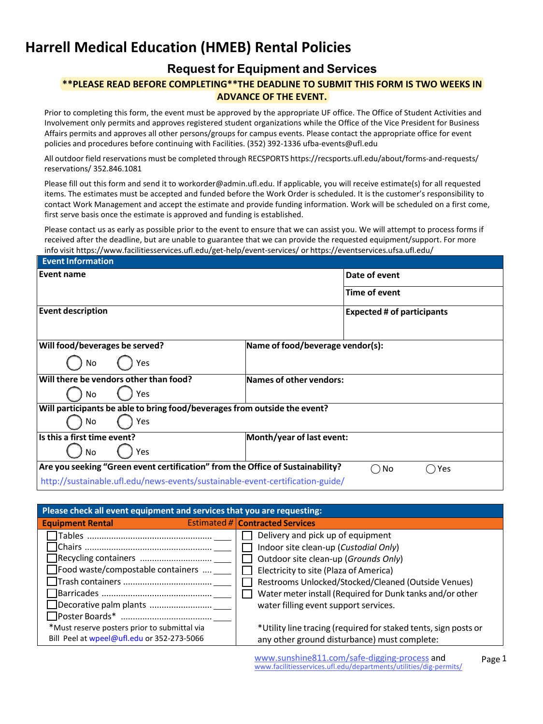## **Request for Equipment and Services**

#### **\*\*PLEASE READ BEFORE COMPLETING\*\*THE DEADLINE TO SUBMIT THIS FORM IS TWO WEEKS IN ADVANCE OF THE EVENT.**

Prior to completing this form, the event must be approved by the appropriate UF office. The Office of Student Activities and Involvement only permits and approves registered student organizations while the Office of the Vice President for Business Affairs permits and approves all other persons/groups for campus events. Please contact the appropriate office for event policies and procedures before continuing with Facilities. (352) 392-1336 ufba-events@ufl.edu

All outdoor field reservations must be completed through RECSPORTS https://recsports.ufl.edu/about/forms-and-requests/ reservations/ 352.846.1081

Please fill out this form and send it to workorder@admin.ufl.edu. If applicable, you will receive estimate(s) for all requested items. The estimates must be accepted and funded before the Work Order is scheduled. It is the customer's responsibility to contact Work Management and accept the estimate and provide funding information. Work will be scheduled on a first come, first serve basis once the estimate is approved and funding is established.

Please contact us as early as possible prior to the event to ensure that we can assist you. We will attempt to process forms if received after the deadline, but are unable to guarantee that we can provide the requested equipment/support. For more info visit https://www.facilitiesservices.ufl.edu/get-help/event-services/ or https://eventservices.ufsa.ufl.edu/

| <b>Event Information</b>                                                       |                                   |                        |  |
|--------------------------------------------------------------------------------|-----------------------------------|------------------------|--|
| Event name                                                                     |                                   | Date of event          |  |
|                                                                                |                                   | Time of event          |  |
| <b>Event description</b>                                                       | <b>Expected # of participants</b> |                        |  |
| Will food/beverages be served?                                                 | Name of food/beverage vendor(s):  |                        |  |
| Yes<br>No                                                                      |                                   |                        |  |
| Will there be vendors other than food?                                         | Names of other vendors:           |                        |  |
| Yes<br>No                                                                      |                                   |                        |  |
| Will participants be able to bring food/beverages from outside the event?      |                                   |                        |  |
| Yes<br>No                                                                      |                                   |                        |  |
| Is this a first time event?                                                    | Month/year of last event:         |                        |  |
| Yes<br>No.                                                                     |                                   |                        |  |
| Are you seeking "Green event certification" from the Office of Sustainability? |                                   | No<br>Yes<br>$\bar{ }$ |  |
| http://sustainable.ufl.edu/news-events/sustainable-event-certification-guide/  |                                   |                        |  |

| Please check all event equipment and services that you are requesting: |  |                                                                 |
|------------------------------------------------------------------------|--|-----------------------------------------------------------------|
| <b>Equipment Rental</b>                                                |  | <b>Estimated #   Contracted Services</b>                        |
|                                                                        |  | Delivery and pick up of equipment                               |
| □ Chairs ………………………………………………                                            |  | Indoor site clean-up (Custodial Only)                           |
|                                                                        |  | Outdoor site clean-up (Grounds Only)                            |
| $\Box$ Food waste/compostable containers                               |  | Electricity to site (Plaza of America)                          |
|                                                                        |  | Restrooms Unlocked/Stocked/Cleaned (Outside Venues)             |
|                                                                        |  | Water meter install (Required for Dunk tanks and/or other       |
| Decorative palm plants                                                 |  | water filling event support services.                           |
| □Poster Boards* ……………………………… <sub>…</sub>                              |  |                                                                 |
| *Must reserve posters prior to submittal via                           |  | *Utility line tracing (required for staked tents, sign posts or |
| Bill Peel at wpeel@ufl.edu or 352-273-5066                             |  | any other ground disturbance) must complete:                    |
|                                                                        |  |                                                                 |

www.sunshine811.com/safe-digging-process and<br>www.facilitiesservices.ufl.edu/departments/utilities/dig-permits/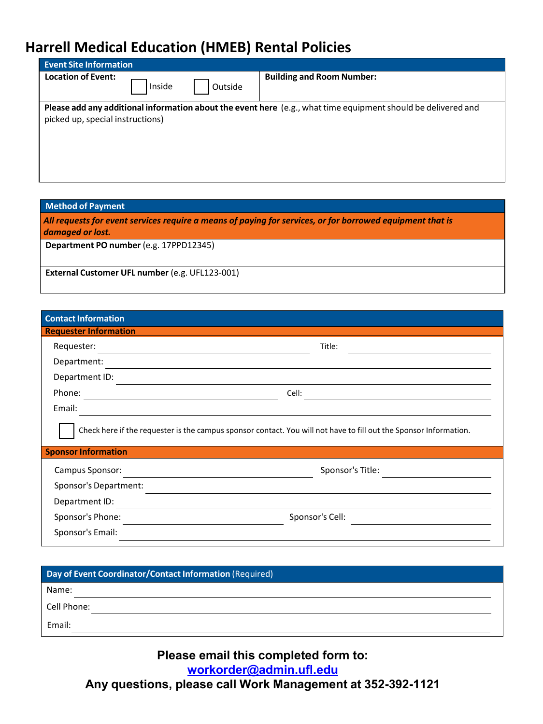| <b>Event Site Information</b>    |        |         |                                                                                                               |
|----------------------------------|--------|---------|---------------------------------------------------------------------------------------------------------------|
| <b>Location of Event:</b>        | Inside | Outside | <b>Building and Room Number:</b>                                                                              |
| picked up, special instructions) |        |         | Please add any additional information about the event here (e.g., what time equipment should be delivered and |

**Method of Payment**

*All requests for event services require a means of paying for services, or for borrowed equipment that is damaged or lost.*

**Department PO number** (e.g. 17PPD12345)

**External Customer UFL number** (e.g. UFL123-001)

| <b>Contact Information</b>   |                                                                                                                   |
|------------------------------|-------------------------------------------------------------------------------------------------------------------|
| <b>Requester Information</b> |                                                                                                                   |
| Requester:                   | Title:                                                                                                            |
| Department:                  |                                                                                                                   |
| Department ID:               |                                                                                                                   |
| Phone:                       | Cell:                                                                                                             |
| Email:                       |                                                                                                                   |
| <b>Sponsor Information</b>   | Check here if the requester is the campus sponsor contact. You will not have to fill out the Sponsor Information. |
| Campus Sponsor:              | Sponsor's Title:                                                                                                  |
| Sponsor's Department:        |                                                                                                                   |
| Department ID:               |                                                                                                                   |
| Sponsor's Phone:             | Sponsor's Cell:                                                                                                   |
| Sponsor's Email:             |                                                                                                                   |
|                              |                                                                                                                   |

| Day of Event Coordinator/Contact Information (Required) |
|---------------------------------------------------------|
| Name:                                                   |
| Cell Phone:                                             |
| Email:                                                  |

## **Please email this completed form to: workorder@admin.ufl.edu Any questions, please call Work Management at 352-392-1121**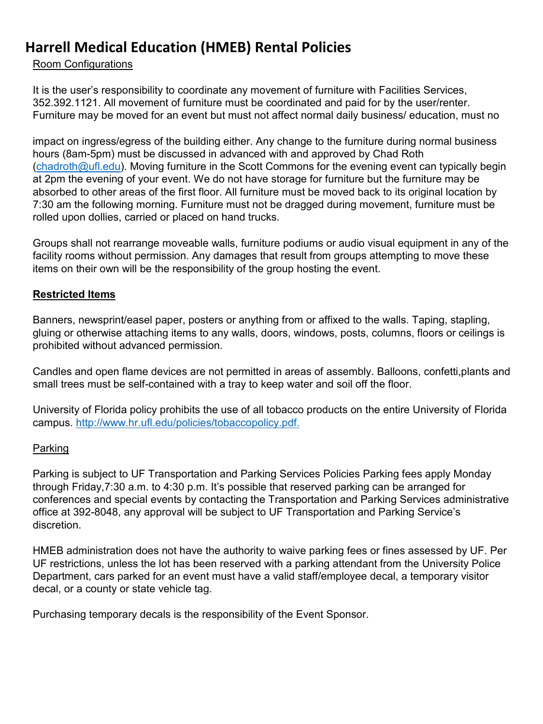#### Room Configurations

It is the user's responsibility to coordinate any movement of furniture with Facilities Services, 352.392.1121. All movement of furniture must be coordinated and paid for by the user/renter. Furniture may be moved for an event but must not affect normal daily business/ education, must no

impact on ingress/egress of the building either. Any change to the furniture during normal business hours (8am-5pm) must be discussed in advanced with and approved by Chad Roth  $($ chadroth@ufl.edu). Moving furniture in the Scott Commons for the evening event can typically begin at 2pm the evening of your event. We do not have storage for furniture but the furniture may be absorbed to other areas of the first floor. All furniture must be moved back to its original location by 7:30 am the following morning. Furniture must not be dragged during movement, furniture must be rolled upon dollies, carried or placed on hand trucks.

Groups shall not rearrange moveable walls, furniture podiums or audio visual equipment in any of the facility rooms without permission. Any damages that result from groups attempting to move these items on their own will be the responsibility of the group hosting the event.

#### **Restricted Items**

Banners, newsprint/easel paper, posters or anything from or affixed to the walls. Taping, stapling, gluing or otherwise attaching items to any walls, doors, windows, posts, columns, floors or ceilings is prohibited without advanced permission.

Candles and open flame devices are not permitted in areas of assembly. Balloons, confetti,plants and small trees must be self-contained with a tray to keep water and soil off the floor.

University of Florida policy prohibits the use of all tobacco products on the entire University of Florida campus. [http://www.hr.ufl.edu/policies/tobaccopolicy.pdf.](http://www.hr.ufl.edu/policies/tobaccopolicy.pdf)

#### Parking

Parking is subject to UF Transportation and Parking Services Policies Parking fees apply Monday through Friday,7:30 a.m. to 4:30 p.m. It's possible that reserved parking can be arranged for conferences and special events by contacting the Transportation and Parking Services administrative office at 392-8048, any approval will be subject to UF Transportation and Parking Service's discretion.

HMEB administration does not have the authority to waive parking fees or fines assessed by UF. Per UF restrictions, unless the lot has been reserved with a parking attendant from the University Police Department, cars parked for an event must have a valid staff/employee decal, a temporary visitor decal, or a county or state vehicle tag.

Purchasing temporary decals is the responsibility of the Event Sponsor.